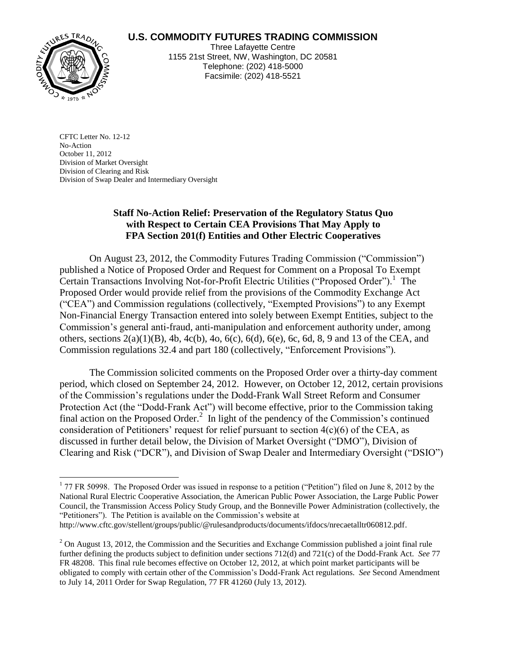## **U.S. COMMODITY FUTURES TRADING COMMISSION**



 $\overline{a}$ 

Three Lafayette Centre 1155 21st Street, NW, Washington, DC 20581 Telephone: (202) 418-5000 Facsimile: (202) 418-5521

CFTC Letter No. 12-12 No-Action October 11, 2012 Division of Market Oversight Division of Clearing and Risk Division of Swap Dealer and Intermediary Oversight

## **Staff No-Action Relief: Preservation of the Regulatory Status Quo with Respect to Certain CEA Provisions That May Apply to FPA Section 201(f) Entities and Other Electric Cooperatives**

On August 23, 2012, the Commodity Futures Trading Commission ("Commission") published a Notice of Proposed Order and Request for Comment on a Proposal To Exempt Certain Transactions Involving Not-for-Profit Electric Utilities ("Proposed Order").<sup>1</sup> The Proposed Order would provide relief from the provisions of the Commodity Exchange Act ("CEA") and Commission regulations (collectively, "Exempted Provisions") to any Exempt Non-Financial Energy Transaction entered into solely between Exempt Entities, subject to the Commission's general anti-fraud, anti-manipulation and enforcement authority under, among others, sections 2(a)(1)(B), 4b, 4c(b), 4o, 6(c), 6(d), 6(e), 6c, 6d, 8, 9 and 13 of the CEA, and Commission regulations 32.4 and part 180 (collectively, "Enforcement Provisions").

The Commission solicited comments on the Proposed Order over a thirty-day comment period, which closed on September 24, 2012. However, on October 12, 2012, certain provisions of the Commission's regulations under the Dodd-Frank Wall Street Reform and Consumer Protection Act (the "Dodd-Frank Act") will become effective, prior to the Commission taking final action on the Proposed Order.<sup>2</sup> In light of the pendency of the Commission's continued consideration of Petitioners' request for relief pursuant to section  $4(c)(6)$  of the CEA, as discussed in further detail below, the Division of Market Oversight ("DMO"), Division of Clearing and Risk ("DCR"), and Division of Swap Dealer and Intermediary Oversight ("DSIO")

 $177$  FR 50998. The Proposed Order was issued in response to a petition ("Petition") filed on June 8, 2012 by the National Rural Electric Cooperative Association, the American Public Power Association, the Large Public Power Council, the Transmission Access Policy Study Group, and the Bonneville Power Administration (collectively, the "Petitioners"). The Petition is available on the Commission's website at

http://www.cftc.gov/stellent/groups/public/@rulesandproducts/documents/ifdocs/nrecaetalltr060812.pdf.

 $2$  On August 13, 2012, the Commission and the Securities and Exchange Commission published a joint final rule further defining the products subject to definition under sections 712(d) and 721(c) of the Dodd-Frank Act. *See* 77 FR 48208. This final rule becomes effective on October 12, 2012, at which point market participants will be obligated to comply with certain other of the Commission's Dodd-Frank Act regulations. *See* Second Amendment to July 14, 2011 Order for Swap Regulation, 77 FR 41260 (July 13, 2012).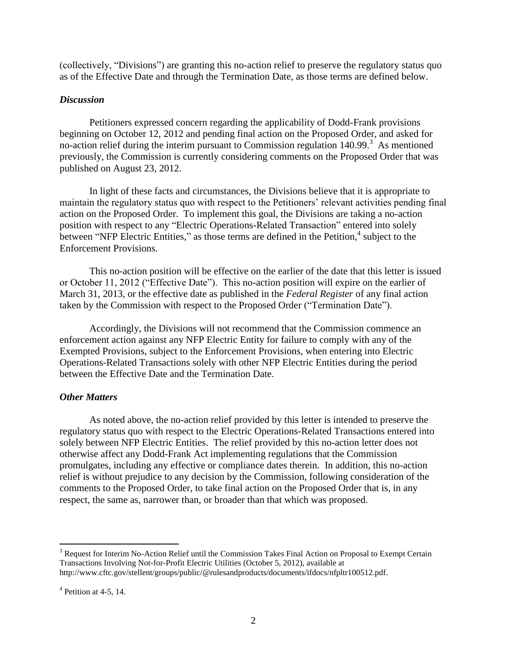(collectively, "Divisions") are granting this no-action relief to preserve the regulatory status quo as of the Effective Date and through the Termination Date, as those terms are defined below.

## *Discussion*

Petitioners expressed concern regarding the applicability of Dodd-Frank provisions beginning on October 12, 2012 and pending final action on the Proposed Order, and asked for no-action relief during the interim pursuant to Commission regulation  $140.99$ .<sup>3</sup> As mentioned previously, the Commission is currently considering comments on the Proposed Order that was published on August 23, 2012.

In light of these facts and circumstances, the Divisions believe that it is appropriate to maintain the regulatory status quo with respect to the Petitioners' relevant activities pending final action on the Proposed Order. To implement this goal, the Divisions are taking a no-action position with respect to any "Electric Operations-Related Transaction" entered into solely between "NFP Electric Entities," as those terms are defined in the Petition,<sup>4</sup> subject to the Enforcement Provisions.

This no-action position will be effective on the earlier of the date that this letter is issued or October 11, 2012 ("Effective Date"). This no-action position will expire on the earlier of March 31, 2013, or the effective date as published in the *Federal Register* of any final action taken by the Commission with respect to the Proposed Order ("Termination Date").

Accordingly, the Divisions will not recommend that the Commission commence an enforcement action against any NFP Electric Entity for failure to comply with any of the Exempted Provisions, subject to the Enforcement Provisions, when entering into Electric Operations-Related Transactions solely with other NFP Electric Entities during the period between the Effective Date and the Termination Date.

## *Other Matters*

As noted above, the no-action relief provided by this letter is intended to preserve the regulatory status quo with respect to the Electric Operations-Related Transactions entered into solely between NFP Electric Entities. The relief provided by this no-action letter does not otherwise affect any Dodd-Frank Act implementing regulations that the Commission promulgates, including any effective or compliance dates therein. In addition, this no-action relief is without prejudice to any decision by the Commission, following consideration of the comments to the Proposed Order, to take final action on the Proposed Order that is, in any respect, the same as, narrower than, or broader than that which was proposed.

 $\overline{a}$ 

<sup>&</sup>lt;sup>3</sup> Request for Interim No-Action Relief until the Commission Takes Final Action on Proposal to Exempt Certain Transactions Involving Not-for-Profit Electric Utilities (October 5, 2012), available at http://www.cftc.gov/stellent/groups/public/@rulesandproducts/documents/ifdocs/nfpltr100512.pdf.

 $<sup>4</sup>$  Petition at 4-5, 14.</sup>